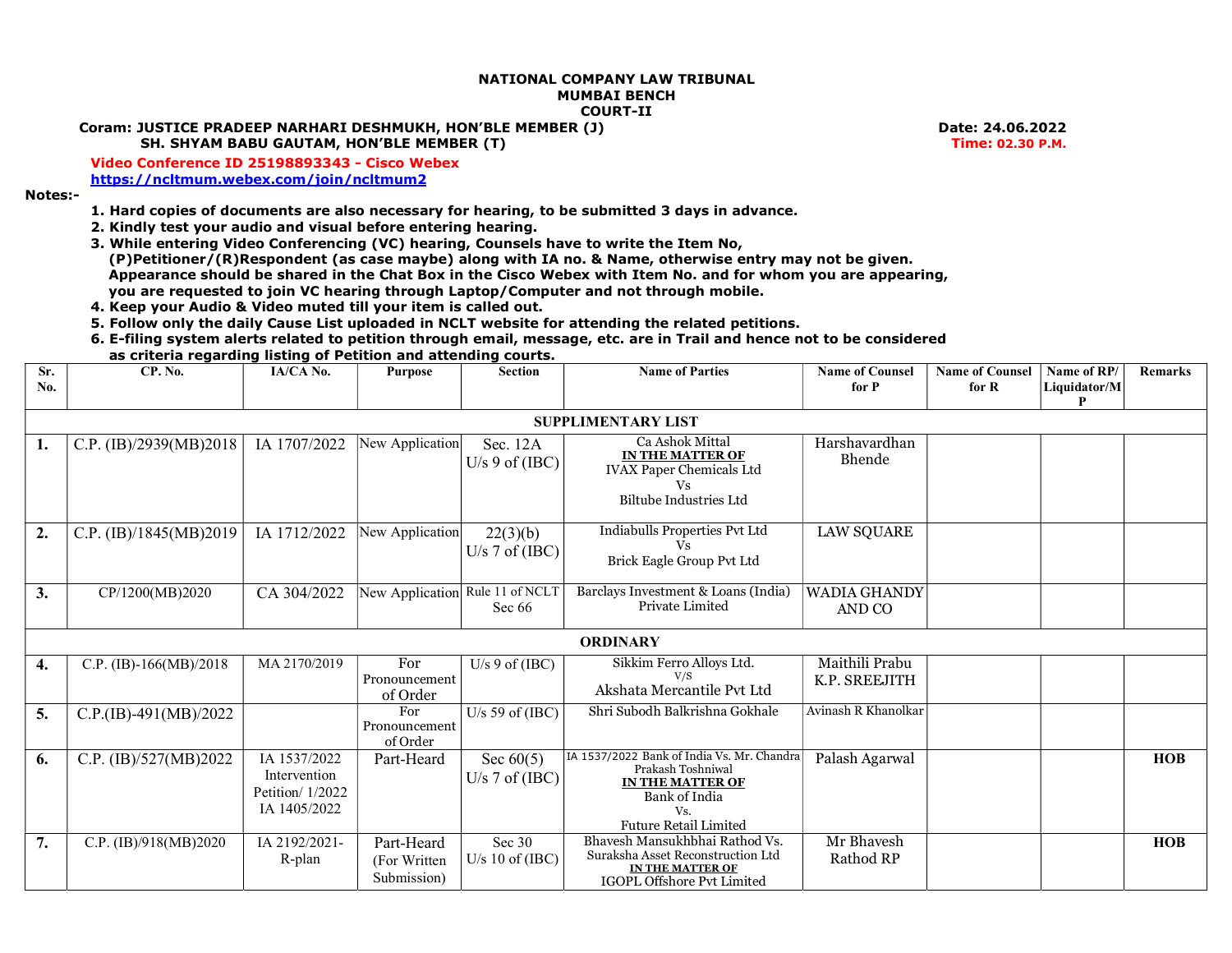## NATIONAL COMPANY LAW TRIBUNAL MUMBAI BENCH COURT-II

## Coram: JUSTICE PRADEEP NARHARI DESHMUKH, HON'BLE MEMBER (J) Date: 24.06.2022

SH. SHYAM BABU GAUTAM, HON'BLE MEMBER (T) EXAMPLE THE SALE OF THE SERVICE OF THE SERVICE OF TIME: 02.30 P.M.

 Video Conference ID 25198893343 - Cisco Webex https://ncltmum.webex.com/join/ncltmum2

Notes:-

- 1. Hard copies of documents are also necessary for hearing, to be submitted 3 days in advance.
- 2. Kindly test your audio and visual before entering hearing.
- 3. While entering Video Conferencing (VC) hearing, Counsels have to write the Item No, (P)Petitioner/(R)Respondent (as case maybe) along with IA no. & Name, otherwise entry may not be given. Appearance should be shared in the Chat Box in the Cisco Webex with Item No. and for whom you are appearing, you are requested to join VC hearing through Laptop/Computer and not through mobile.
- 4. Keep your Audio & Video muted till your item is called out.
- 5. Follow only the daily Cause List uploaded in NCLT website for attending the related petitions.
- 6. E-filing system alerts related to petition through email, message, etc. are in Trail and hence not to be considered

|            | as criteria regarding listing of Petition and attending courts. |              |                                 |                                |                                                                                                        |                                 |                                   |                             |                |  |  |
|------------|-----------------------------------------------------------------|--------------|---------------------------------|--------------------------------|--------------------------------------------------------------------------------------------------------|---------------------------------|-----------------------------------|-----------------------------|----------------|--|--|
| Sr.<br>No. | CP. No.                                                         | IA/CA No.    | Purpose                         | Section                        | <b>Name of Parties</b>                                                                                 | <b>Name of Counsel</b><br>for P | <b>Name of Counsel</b><br>for $R$ | Name of RP/<br>Liquidator/M | <b>Remarks</b> |  |  |
|            | <b>SUPPLIMENTARY LIST</b>                                       |              |                                 |                                |                                                                                                        |                                 |                                   |                             |                |  |  |
|            | C.P. (IB)/2939(MB)2018                                          | IA 1707/2022 | New Application                 | Sec. $12A$<br>U/s 9 of $(IBC)$ | Ca Ashok Mittal<br>IN THE MATTER OF<br><b>IVAX Paper Chemicals Ltd</b><br>Vs<br>Biltube Industries Ltd | Harshavardhan<br>Bhende         |                                   |                             |                |  |  |
| 2.         | C.P. (IB)/1845(MB)2019                                          | IA 1712/2022 | New Application                 | 22(3)(b)<br>U/s 7 of $(IBC)$   | Indiabulls Properties Pvt Ltd<br>Brick Eagle Group Pvt Ltd                                             | <b>LAW SQUARE</b>               |                                   |                             |                |  |  |
| 3.         | CP/1200(MB)2020                                                 | CA 304/2022  | New Application Rule 11 of NCLT | Sec $66$                       | Barclays Investment & Loans (India)<br>Private Limited                                                 | <b>WADIA GHANDY</b><br>AND CO   |                                   |                             |                |  |  |

**ORDINARY** 

| 4. | C.P. (IB)-166(MB)/2018  | MA 2170/2019       | For           | $U/s$ 9 of (IBC)  | Sikkim Ferro Alloys Ltd.                              | Maithili Prabu      |  |            |
|----|-------------------------|--------------------|---------------|-------------------|-------------------------------------------------------|---------------------|--|------------|
|    |                         |                    | Pronouncement |                   | V/S<br>Akshata Mercantile Pvt Ltd                     | K.P. SREEJITH       |  |            |
|    |                         |                    | of Order      |                   |                                                       |                     |  |            |
| 5. | $C.P.(IB)-491(MB)/2022$ |                    | For           | U/s 59 of $(IBC)$ | Shri Subodh Balkrishna Gokhale                        | Avinash R Khanolkar |  |            |
|    |                         |                    | Pronouncement |                   |                                                       |                     |  |            |
|    |                         |                    | of Order      |                   |                                                       |                     |  |            |
| 6. | C.P. (IB)/527(MB)2022   | IA 1537/2022       | Part-Heard    | Sec $60(5)$       | IA 1537/2022 Bank of India Vs. Mr. Chandra            | Palash Agarwal      |  | <b>HOB</b> |
|    |                         | Intervention       |               | U/s 7 of $(IBC)$  | Prakash Toshniwal                                     |                     |  |            |
|    |                         | Petition/ $1/2022$ |               |                   | IN THE MATTER OF                                      |                     |  |            |
|    |                         |                    |               |                   | Bank of India                                         |                     |  |            |
|    |                         | IA 1405/2022       |               |                   | Vs.                                                   |                     |  |            |
|    |                         |                    |               |                   | <b>Future Retail Limited</b>                          |                     |  |            |
|    | C.P. $(IB)/918(MB)2020$ | IA 2192/2021-      | Part-Heard    | Sec $30$          | Bhavesh Mansukhbhai Rathod Vs.                        | Mr Bhavesh          |  | <b>HOB</b> |
|    |                         | R-plan             | (For Written) | U/s 10 of $(IBC)$ | Suraksha Asset Reconstruction Ltd<br>IN THE MATTER OF | Rathod RP           |  |            |
|    |                         |                    | Submission)   |                   |                                                       |                     |  |            |
|    |                         |                    |               |                   | <b>IGOPL Offshore Pvt Limited</b>                     |                     |  |            |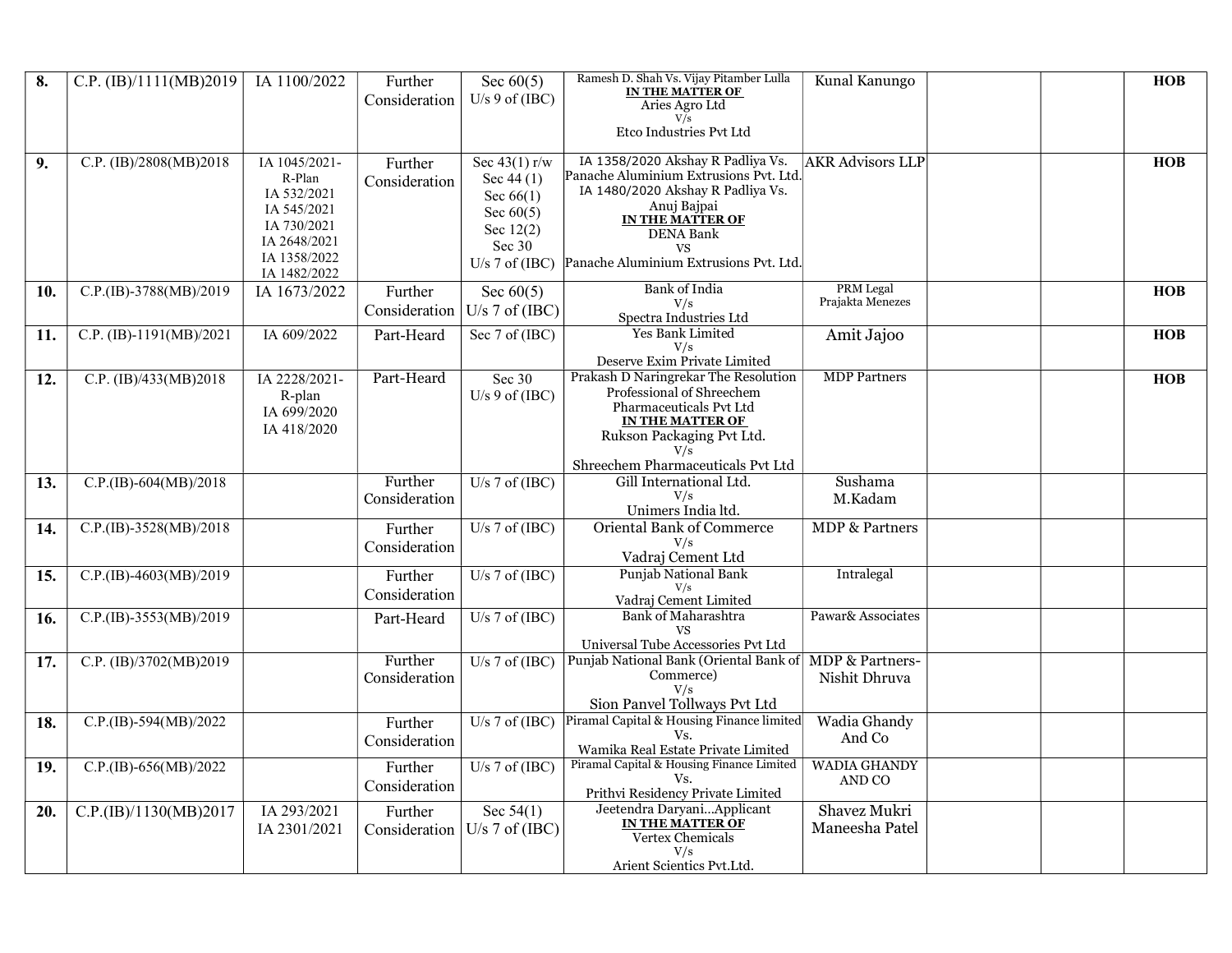| 8.  | C.P. (IB)/1111(MB)2019  | IA 1100/2022                 | Further<br>Consideration | Sec $60(5)$<br>U/s $9$ of (IBC) | Ramesh D. Shah Vs. Vijay Pitamber Lulla<br><b>IN THE MATTER OF</b>          | Kunal Kanungo                 |  | <b>HOB</b> |
|-----|-------------------------|------------------------------|--------------------------|---------------------------------|-----------------------------------------------------------------------------|-------------------------------|--|------------|
|     |                         |                              |                          |                                 | Aries Agro Ltd<br>V/s                                                       |                               |  |            |
|     |                         |                              |                          |                                 | Etco Industries Pvt Ltd                                                     |                               |  |            |
| 9.  | C.P. (IB)/2808(MB)2018  | IA 1045/2021-<br>R-Plan      | Further                  | Sec $43(1)$ r/w<br>Sec $44(1)$  | IA 1358/2020 Akshay R Padliya Vs.<br>Panache Aluminium Extrusions Pvt. Ltd. | <b>AKR Advisors LLP</b>       |  | <b>HOB</b> |
|     |                         | IA 532/2021                  | Consideration            | Sec $66(1)$                     | IA 1480/2020 Akshay R Padliya Vs.                                           |                               |  |            |
|     |                         | IA 545/2021                  |                          | Sec $60(5)$                     | Anuj Bajpai<br><b>IN THE MATTER OF</b>                                      |                               |  |            |
|     |                         | IA 730/2021                  |                          | Sec $12(2)$                     | <b>DENA Bank</b>                                                            |                               |  |            |
|     |                         | IA 2648/2021<br>IA 1358/2022 |                          | Sec 30                          | <b>VS</b>                                                                   |                               |  |            |
|     |                         | IA 1482/2022                 |                          |                                 | U/s 7 of (IBC) Panache Aluminium Extrusions Pvt. Ltd.                       |                               |  |            |
| 10. | C.P.(IB)-3788(MB)/2019  | IA 1673/2022                 | Further                  | Sec $60(5)$                     | <b>Bank</b> of India<br>V/s                                                 | PRM Legal<br>Prajakta Menezes |  | <b>HOB</b> |
|     |                         |                              | Consideration            | $U/s$ 7 of (IBC)                | Spectra Industries Ltd                                                      |                               |  |            |
| 11. | C.P. (IB)-1191(MB)/2021 | IA 609/2022                  | Part-Heard               | Sec 7 of (IBC)                  | <b>Yes Bank Limited</b>                                                     | Amit Jajoo                    |  | <b>HOB</b> |
|     |                         |                              |                          |                                 | V/s<br>Deserve Exim Private Limited                                         |                               |  |            |
| 12. | C.P. (IB)/433(MB)2018   | IA 2228/2021-                | Part-Heard               | Sec 30                          | Prakash D Naringrekar The Resolution                                        | <b>MDP</b> Partners           |  | <b>HOB</b> |
|     |                         | R-plan                       |                          | $U/s$ 9 of (IBC)                | Professional of Shreechem                                                   |                               |  |            |
|     |                         | IA 699/2020                  |                          |                                 | Pharmaceuticals Pvt Ltd<br>IN THE MATTER OF                                 |                               |  |            |
|     |                         | IA 418/2020                  |                          |                                 | Rukson Packaging Pvt Ltd.                                                   |                               |  |            |
|     |                         |                              |                          |                                 | V/s<br>Shreechem Pharmaceuticals Pvt Ltd                                    |                               |  |            |
| 13. | C.P.(IB)-604(MB)/2018   |                              | Further                  | $\overline{U/s}$ 7 of (IBC)     | Gill International Ltd.                                                     | Sushama                       |  |            |
|     |                         |                              | Consideration            |                                 | V/s                                                                         | M.Kadam                       |  |            |
|     | C.P.(IB)-3528(MB)/2018  |                              |                          | U/s $7$ of (IBC)                | Unimers India ltd.<br><b>Oriental Bank of Commerce</b>                      | <b>MDP &amp; Partners</b>     |  |            |
| 14. |                         |                              | Further<br>Consideration |                                 | V/s                                                                         |                               |  |            |
|     |                         |                              |                          |                                 | Vadraj Cement Ltd                                                           |                               |  |            |
| 15. | C.P.(IB)-4603(MB)/2019  |                              | Further                  | $\overline{U/s}$ 7 of (IBC)     | Punjab National Bank<br>V/s                                                 | Intralegal                    |  |            |
|     |                         |                              | Consideration            |                                 | Vadraj Cement Limited                                                       |                               |  |            |
| 16. | C.P.(IB)-3553(MB)/2019  |                              | Part-Heard               | U/s $7$ of (IBC)                | <b>Bank of Maharashtra</b><br><b>VS</b>                                     | Pawar& Associates             |  |            |
|     |                         |                              |                          |                                 | Universal Tube Accessories Pvt Ltd                                          |                               |  |            |
| 17. | C.P. (IB)/3702(MB)2019  |                              | Further                  | U/s $7$ of (IBC)                | Punjab National Bank (Oriental Bank of   MDP & Partners-                    |                               |  |            |
|     |                         |                              | Consideration            |                                 | Commerce)<br>V/s                                                            | Nishit Dhruva                 |  |            |
|     |                         |                              |                          |                                 | Sion Panvel Tollways Pvt Ltd                                                |                               |  |            |
| 18. | C.P.(IB)-594(MB)/2022   |                              | Further                  | $U/s$ 7 of (IBC)                | Piramal Capital & Housing Finance limited                                   | Wadia Ghandy                  |  |            |
|     |                         |                              | Consideration            |                                 | Vs.<br>Wamika Real Estate Private Limited                                   | And Co                        |  |            |
| 19. | C.P.(IB)-656(MB)/2022   |                              | Further                  | $U/s$ 7 of (IBC)                | Piramal Capital & Housing Finance Limited                                   | <b>WADIA GHANDY</b>           |  |            |
|     |                         |                              | Consideration            |                                 | Vs.<br>Prithvi Residency Private Limited                                    | AND CO                        |  |            |
| 20. | C.P.(IB)/1130(MB)2017   | IA 293/2021                  | Further                  | Sec $54(1)$                     | Jeetendra DaryaniApplicant                                                  | Shavez Mukri                  |  |            |
|     |                         | IA 2301/2021                 | Consideration            | $U/s$ 7 of (IBC)                | IN THE MATTER OF                                                            | Maneesha Patel                |  |            |
|     |                         |                              |                          |                                 | Vertex Chemicals<br>V/s                                                     |                               |  |            |
|     |                         |                              |                          |                                 | Arient Scientics Pvt.Ltd.                                                   |                               |  |            |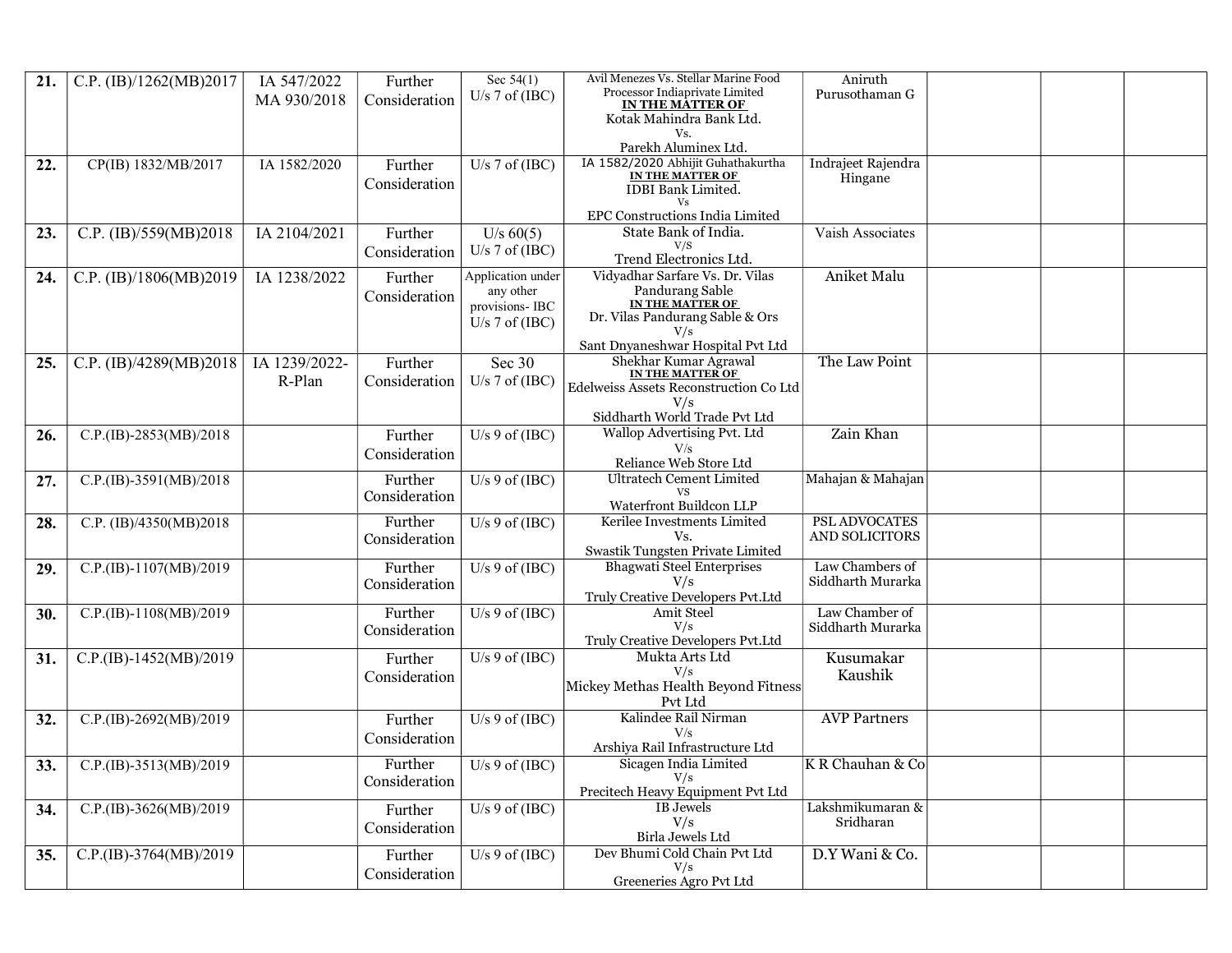| 21. | C.P. (IB)/1262(MB)2017   | IA 547/2022<br>MA 930/2018 | Further<br>Consideration | Sec 54(1)<br>U/s $7$ of (IBC) | Avil Menezes Vs. Stellar Marine Food<br>Processor Indiaprivate Limited<br><b>IN THE MATTER OF</b><br>Kotak Mahindra Bank Ltd.<br>Vs. | Aniruth<br>Purusothaman G     |  |  |
|-----|--------------------------|----------------------------|--------------------------|-------------------------------|--------------------------------------------------------------------------------------------------------------------------------------|-------------------------------|--|--|
|     |                          |                            |                          |                               | Parekh Aluminex Ltd.                                                                                                                 |                               |  |  |
| 22. | CP(IB) 1832/MB/2017      | IA 1582/2020               | Further<br>Consideration | U/s $7$ of (IBC)              | IA 1582/2020 Abhijit Guhathakurtha<br><b>IN THE MATTER OF</b><br>IDBI Bank Limited.<br>Vs                                            | Indrajeet Rajendra<br>Hingane |  |  |
|     |                          |                            |                          |                               | EPC Constructions India Limited                                                                                                      |                               |  |  |
| 23. | C.P. (IB)/559(MB)2018    | IA 2104/2021               | Further                  | U/s 60(5)                     | State Bank of India.<br>V/S                                                                                                          | Vaish Associates              |  |  |
|     |                          |                            | Consideration            | U/s $7$ of (IBC)              | Trend Electronics Ltd.                                                                                                               |                               |  |  |
| 24. | C.P. (IB)/1806(MB)2019   | IA 1238/2022               | Further                  | Application under             | Vidyadhar Sarfare Vs. Dr. Vilas                                                                                                      | Aniket Malu                   |  |  |
|     |                          |                            | Consideration            | any other<br>provisions- IBC  | Pandurang Sable<br>IN THE MATTER OF                                                                                                  |                               |  |  |
|     |                          |                            |                          | U/s $7$ of (IBC)              | Dr. Vilas Pandurang Sable & Ors                                                                                                      |                               |  |  |
|     |                          |                            |                          |                               | V/s<br>Sant Dnyaneshwar Hospital Pvt Ltd                                                                                             |                               |  |  |
| 25. | C.P. $(B)/4289(MB)2018$  | IA 1239/2022-              | Further                  | Sec 30                        | Shekhar Kumar Agrawal                                                                                                                | The Law Point                 |  |  |
|     |                          | R-Plan                     | Consideration            | U/s $7$ of (IBC)              | IN THE MATTER OF<br>Edelweiss Assets Reconstruction Co Ltd                                                                           |                               |  |  |
|     |                          |                            |                          |                               | V/s                                                                                                                                  |                               |  |  |
|     |                          |                            |                          | U/s $9$ of (IBC)              | Siddharth World Trade Pvt Ltd<br>Wallop Advertising Pvt. Ltd                                                                         | Zain Khan                     |  |  |
| 26. | C.P.(IB)-2853(MB)/2018   |                            | Further<br>Consideration |                               | V/s                                                                                                                                  |                               |  |  |
|     |                          |                            |                          |                               | Reliance Web Store Ltd                                                                                                               |                               |  |  |
| 27. | C.P.(IB)-3591(MB)/2018   |                            | Further                  | U/s $9$ of (IBC)              | <b>Ultratech Cement Limited</b>                                                                                                      | Mahajan & Mahajan             |  |  |
|     |                          |                            | Consideration            |                               | Waterfront Buildcon LLP                                                                                                              |                               |  |  |
| 28. | C.P. (IB)/4350(MB)2018   |                            | Further                  | U/s $9$ of (IBC)              | Kerilee Investments Limited                                                                                                          | PSL ADVOCATES                 |  |  |
|     |                          |                            | Consideration            |                               | Vs.<br>Swastik Tungsten Private Limited                                                                                              | AND SOLICITORS                |  |  |
| 29. | C.P.(IB)-1107(MB)/2019   |                            | Further                  | U/s $9$ of (IBC)              | <b>Bhagwati Steel Enterprises</b>                                                                                                    | Law Chambers of               |  |  |
|     |                          |                            | Consideration            |                               | V/s                                                                                                                                  | Siddharth Murarka             |  |  |
| 30. | C.P.(IB)-1108(MB)/2019   |                            | Further                  | U/s $9$ of (IBC)              | Truly Creative Developers Pvt.Ltd<br>Amit Steel                                                                                      | Law Chamber of                |  |  |
|     |                          |                            | Consideration            |                               | V/s                                                                                                                                  | Siddharth Murarka             |  |  |
|     |                          |                            |                          |                               | Truly Creative Developers Pvt.Ltd<br>Mukta Arts Ltd                                                                                  |                               |  |  |
| 31. | C.P.(IB)-1452(MB)/2019   |                            | Further<br>Consideration | U/s $9$ of (IBC)              | V/s                                                                                                                                  | Kusumakar<br>Kaushik          |  |  |
|     |                          |                            |                          |                               | Mickey Methas Health Beyond Fitness                                                                                                  |                               |  |  |
|     | C.P.(IB)-2692(MB)/2019   |                            |                          | U/s $9$ of (IBC)              | Pvt Ltd<br>Kalindee Rail Nirman                                                                                                      | <b>AVP Partners</b>           |  |  |
| 32. |                          |                            | Further<br>Consideration |                               | V/s                                                                                                                                  |                               |  |  |
|     |                          |                            |                          |                               | Arshiya Rail Infrastructure Ltd                                                                                                      |                               |  |  |
| 33. | $C.P.(IB)-3513(MB)/2019$ |                            | Further                  | U/s $9$ of (IBC)              | Sicagen India Limited<br>V/s                                                                                                         | K R Chauhan & Co              |  |  |
|     |                          |                            | Consideration            |                               | Precitech Heavy Equipment Pvt Ltd                                                                                                    |                               |  |  |
| 34. | C.P.(IB)-3626(MB)/2019   |                            | Further                  | U/s $9$ of (IBC)              | IB Jewels                                                                                                                            | Lakshmikumaran &              |  |  |
|     |                          |                            | Consideration            |                               | V/s<br>Birla Jewels Ltd                                                                                                              | Sridharan                     |  |  |
| 35. | C.P.(IB)-3764(MB)/2019   |                            | Further                  | U/s $9$ of (IBC)              | Dev Bhumi Cold Chain Pvt Ltd                                                                                                         | D.Y Wani & Co.                |  |  |
|     |                          |                            | Consideration            |                               | V/s<br>Greeneries Agro Pvt Ltd                                                                                                       |                               |  |  |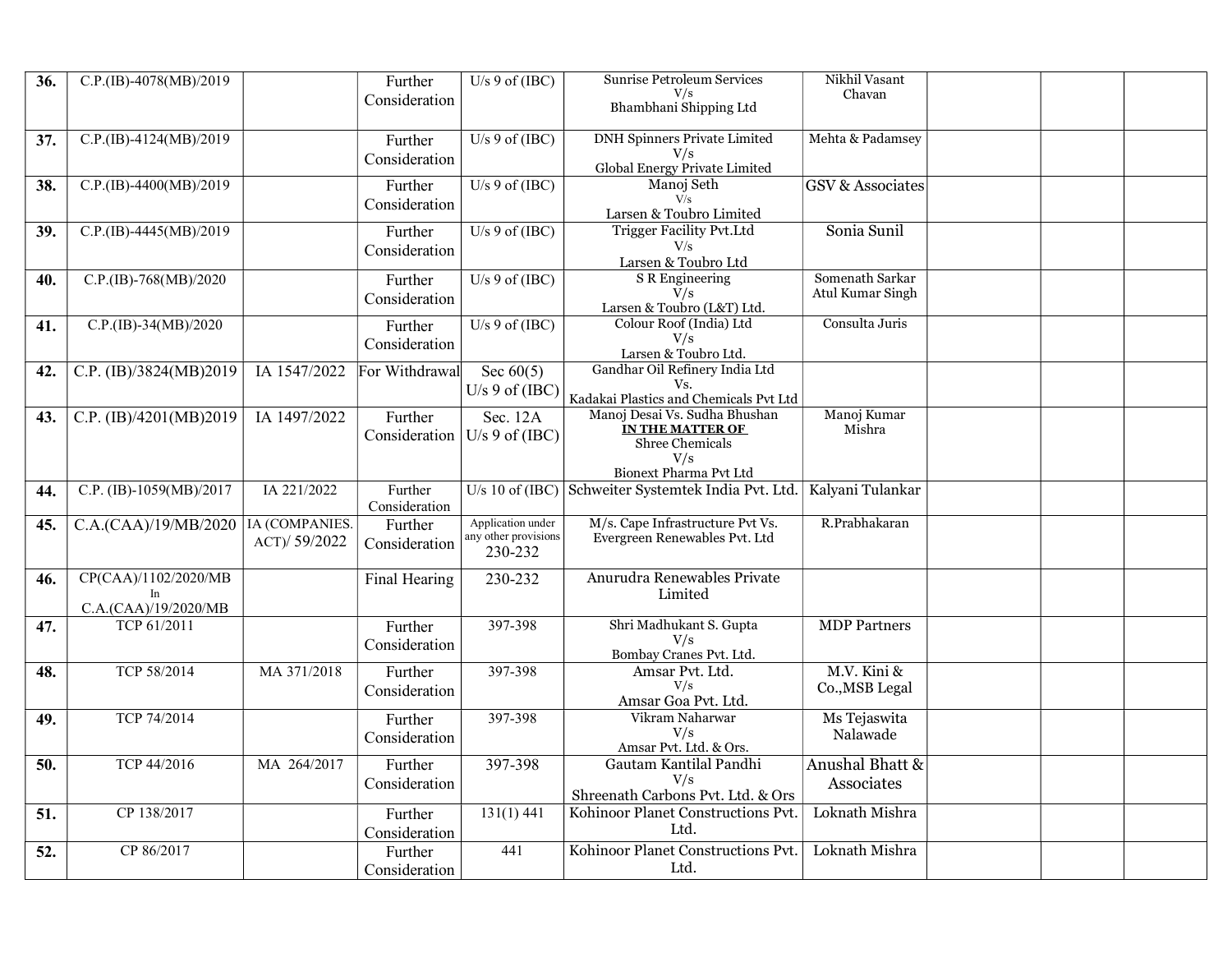| 36. | C.P.(IB)-4078(MB)/2019     |                | Further                  | U/s $9$ of (IBC)                    | Sunrise Petroleum Services                                                    | Nikhil Vasant               |  |  |
|-----|----------------------------|----------------|--------------------------|-------------------------------------|-------------------------------------------------------------------------------|-----------------------------|--|--|
|     |                            |                | Consideration            |                                     | V/s<br>Bhambhani Shipping Ltd                                                 | Chavan                      |  |  |
|     |                            |                |                          |                                     |                                                                               |                             |  |  |
| 37. | C.P.(IB)-4124(MB)/2019     |                | Further                  | $U/s$ 9 of (IBC)                    | <b>DNH Spinners Private Limited</b>                                           | Mehta & Padamsey            |  |  |
|     |                            |                | Consideration            |                                     | V/s<br>Global Energy Private Limited                                          |                             |  |  |
| 38. | C.P.(IB)-4400(MB)/2019     |                | Further                  | $\overline{U/s \, 9 \, o}f( {IBC})$ | Manoj Seth                                                                    | <b>GSV &amp; Associates</b> |  |  |
|     |                            |                | Consideration            |                                     | V/s                                                                           |                             |  |  |
|     | C.P.(IB)-4445(MB)/2019     |                |                          | U/s $9$ of (IBC)                    | Larsen & Toubro Limited<br>Trigger Facility Pvt.Ltd                           | Sonia Sunil                 |  |  |
| 39. |                            |                | Further<br>Consideration |                                     | V/s                                                                           |                             |  |  |
|     |                            |                |                          |                                     | Larsen & Toubro Ltd                                                           |                             |  |  |
| 40. | C.P.(IB)-768(MB)/2020      |                | Further                  | U/s $9$ of (IBC)                    | <b>S</b> R Engineering                                                        | Somenath Sarkar             |  |  |
|     |                            |                | Consideration            |                                     | V/s<br>Larsen & Toubro (L&T) Ltd.                                             | Atul Kumar Singh            |  |  |
| 41. | C.P.(IB)-34(MB)/2020       |                | Further                  | U/s 9 of $(IBC)$                    | Colour Roof (India) Ltd                                                       | Consulta Juris              |  |  |
|     |                            |                | Consideration            |                                     | V/s                                                                           |                             |  |  |
|     |                            |                |                          |                                     | Larsen & Toubro Ltd.<br>Gandhar Oil Refinery India Ltd                        |                             |  |  |
| 42. | C.P. (IB)/3824(MB)2019     | IA 1547/2022   | For Withdrawal           | Sec $60(5)$<br>$U/s$ 9 of (IBC)     | Vs.                                                                           |                             |  |  |
|     |                            |                |                          |                                     | Kadakai Plastics and Chemicals Pvt Ltd                                        |                             |  |  |
| 43. | C.P. (IB)/4201(MB)2019     | IA 1497/2022   | Further                  | Sec. 12A                            | Manoj Desai Vs. Sudha Bhushan<br>IN THE MATTER OF                             | Manoj Kumar<br>Mishra       |  |  |
|     |                            |                | Consideration            | $U/s$ 9 of (IBC)                    | Shree Chemicals                                                               |                             |  |  |
|     |                            |                |                          |                                     | V/s                                                                           |                             |  |  |
|     | C.P. (IB)-1059(MB)/2017    | IA 221/2022    | Further                  |                                     | Bionext Pharma Pvt Ltd<br>U/s 10 of (IBC) Schweiter Systemtek India Pvt. Ltd. | Kalyani Tulankar            |  |  |
| 44. |                            |                | Consideration            |                                     |                                                                               |                             |  |  |
| 45. | C.A.(CAA)/19/MB/2020       | IA (COMPANIES. | Further                  | Application under                   | M/s. Cape Infrastructure Pvt Vs.                                              | R.Prabhakaran               |  |  |
|     |                            | ACT)/ 59/2022  | Consideration            | any other provisions<br>230-232     | Evergreen Renewables Pvt. Ltd                                                 |                             |  |  |
|     |                            |                |                          |                                     |                                                                               |                             |  |  |
| 46. | CP(CAA)/1102/2020/MB       |                | Final Hearing            | 230-232                             | Anurudra Renewables Private                                                   |                             |  |  |
|     | In<br>C.A.(CAA)/19/2020/MB |                |                          |                                     | Limited                                                                       |                             |  |  |
| 47. | TCP 61/2011                |                | Further                  | 397-398                             | Shri Madhukant S. Gupta                                                       | <b>MDP</b> Partners         |  |  |
|     |                            |                | Consideration            |                                     | V/s                                                                           |                             |  |  |
| 48. | TCP 58/2014                | MA 371/2018    | Further                  | 397-398                             | Bombay Cranes Pvt. Ltd.<br>Amsar Pvt. Ltd.                                    | M.V. Kini &                 |  |  |
|     |                            |                | Consideration            |                                     | V/s                                                                           | Co., MSB Legal              |  |  |
|     |                            |                |                          |                                     | Amsar Goa Pvt. Ltd.                                                           |                             |  |  |
| 49. | TCP 74/2014                |                | Further                  | 397-398                             | Vikram Naharwar<br>V/s                                                        | Ms Tejaswita                |  |  |
|     |                            |                | Consideration            |                                     | Amsar Pvt. Ltd. & Ors.                                                        | Nalawade                    |  |  |
| 50. | TCP 44/2016                | MA 264/2017    | Further                  | 397-398                             | Gautam Kantilal Pandhi                                                        | Anushal Bhatt &             |  |  |
|     |                            |                | Consideration            |                                     | V/s                                                                           | Associates                  |  |  |
| 51. | CP 138/2017                |                | Further                  | 131(1)441                           | Shreenath Carbons Pvt. Ltd. & Ors<br>Kohinoor Planet Constructions Pvt.       | Loknath Mishra              |  |  |
|     |                            |                | Consideration            |                                     | Ltd.                                                                          |                             |  |  |
| 52. | CP 86/2017                 |                | Further                  | 441                                 | Kohinoor Planet Constructions Pvt.                                            | Loknath Mishra              |  |  |
|     |                            |                | Consideration            |                                     | Ltd.                                                                          |                             |  |  |
|     |                            |                |                          |                                     |                                                                               |                             |  |  |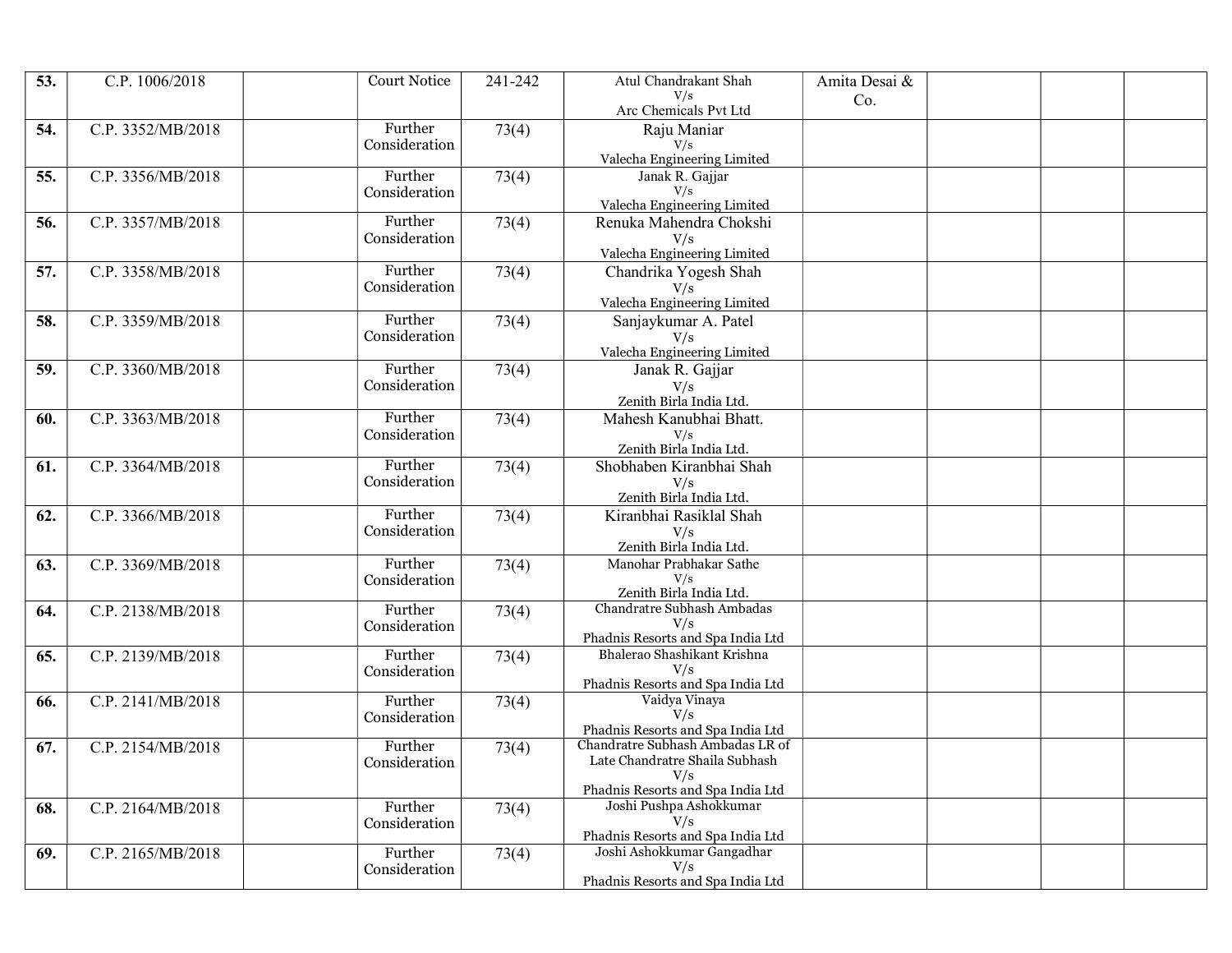| 53. | C.P. 1006/2018    | <b>Court Notice</b>      | 241-242 | Atul Chandrakant Shah                                                 | Amita Desai & |  |  |
|-----|-------------------|--------------------------|---------|-----------------------------------------------------------------------|---------------|--|--|
|     |                   |                          |         | V/s<br>Arc Chemicals Pvt Ltd                                          | Co.           |  |  |
| 54. | C.P. 3352/MB/2018 | Further                  | 73(4)   | Raju Maniar                                                           |               |  |  |
|     |                   | Consideration            |         | V/s<br>Valecha Engineering Limited                                    |               |  |  |
| 55. | C.P. 3356/MB/2018 | Further                  | 73(4)   | Janak R. Gajjar                                                       |               |  |  |
|     |                   | Consideration            |         | V/s                                                                   |               |  |  |
|     |                   | Further                  |         | Valecha Engineering Limited                                           |               |  |  |
| 56. | C.P. 3357/MB/2018 | Consideration            | 73(4)   | Renuka Mahendra Chokshi                                               |               |  |  |
|     |                   |                          |         | $$V\rm/ s$$ Valecha Engineering Limited                               |               |  |  |
| 57. | C.P. 3358/MB/2018 | Further                  | 73(4)   | Chandrika Yogesh Shah                                                 |               |  |  |
|     |                   | Consideration            |         | V/s                                                                   |               |  |  |
| 58. | C.P. 3359/MB/2018 | Further                  | 73(4)   | Valecha Engineering Limited<br>Sanjaykumar A. Patel                   |               |  |  |
|     |                   | Consideration            |         | V/s                                                                   |               |  |  |
|     |                   |                          |         | Valecha Engineering Limited                                           |               |  |  |
| 59. | C.P. 3360/MB/2018 | Further                  | 73(4)   | Janak R. Gajjar                                                       |               |  |  |
|     |                   | Consideration            |         | V/s<br>Zenith Birla India Ltd.                                        |               |  |  |
| 60. | C.P. 3363/MB/2018 | Further                  | 73(4)   | Mahesh Kanubhai Bhatt.                                                |               |  |  |
|     |                   | Consideration            |         | V/s                                                                   |               |  |  |
|     |                   |                          |         | Zenith Birla India Ltd.                                               |               |  |  |
| 61. | C.P. 3364/MB/2018 | Further<br>Consideration | 73(4)   | Shobhaben Kiranbhai Shah                                              |               |  |  |
|     |                   |                          |         | V/s<br>Zenith Birla India Ltd.                                        |               |  |  |
| 62. | C.P. 3366/MB/2018 | Further                  | 73(4)   | Kiranbhai Rasiklal Shah                                               |               |  |  |
|     |                   | Consideration            |         | V/s                                                                   |               |  |  |
|     |                   | Further                  |         | Zenith Birla India Ltd.                                               |               |  |  |
| 63. | C.P. 3369/MB/2018 | Consideration            | 73(4)   | Manohar Prabhakar Sathe<br>V/s                                        |               |  |  |
|     |                   |                          |         | Zenith Birla India Ltd.                                               |               |  |  |
| 64. | C.P. 2138/MB/2018 | Further                  | 73(4)   | Chandratre Subhash Ambadas<br>V/s                                     |               |  |  |
|     |                   | Consideration            |         | Phadnis Resorts and Spa India Ltd                                     |               |  |  |
| 65. | C.P. 2139/MB/2018 | Further                  | 73(4)   | Bhalerao Shashikant Krishna                                           |               |  |  |
|     |                   | Consideration            |         | V/s<br>Phadnis Resorts and Spa India Ltd                              |               |  |  |
| 66. | C.P. 2141/MB/2018 | Further                  | 73(4)   | Vaidya Vinaya                                                         |               |  |  |
|     |                   | Consideration            |         | V/s                                                                   |               |  |  |
| 67. | C.P. 2154/MB/2018 | Further                  | 73(4)   | Phadnis Resorts and Spa India Ltd<br>Chandratre Subhash Ambadas LR of |               |  |  |
|     |                   | Consideration            |         | Late Chandratre Shaila Subhash                                        |               |  |  |
|     |                   |                          |         | V/s                                                                   |               |  |  |
| 68. | C.P. 2164/MB/2018 | Further                  | 73(4)   | Phadnis Resorts and Spa India Ltd<br>Joshi Pushpa Ashokkumar          |               |  |  |
|     |                   | Consideration            |         | V/s                                                                   |               |  |  |
|     |                   |                          |         | Phadnis Resorts and Spa India Ltd                                     |               |  |  |
| 69. | C.P. 2165/MB/2018 | Further<br>Consideration | 73(4)   | Joshi Ashokkumar Gangadhar<br>V/s                                     |               |  |  |
|     |                   |                          |         | Phadnis Resorts and Spa India Ltd                                     |               |  |  |